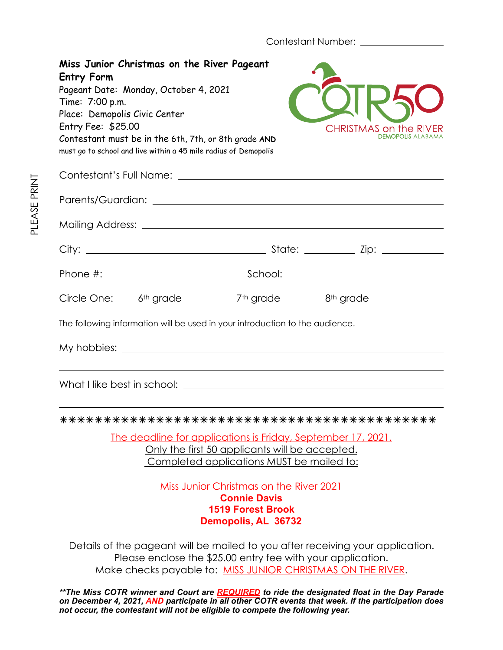Contestant Number: \_\_\_\_\_\_\_\_\_\_\_\_\_\_

| Miss Junior Christmas on the River Pageant<br><b>Entry Form</b><br>Pageant Date: Monday, October 4, 2021<br>Time: 7:00 p.m.<br>Place: Demopolis Civic Center<br>Entry Fee: \$25.00<br>Contestant must be in the 6th, 7th, or 8th grade AND<br>must go to school and live within a 45 mile radius of Demopolis |                                                                                                                                                                                                               | <b>CHRISTMAS on the RIV</b><br><b>DEMOPOLIS ALAB</b> |
|---------------------------------------------------------------------------------------------------------------------------------------------------------------------------------------------------------------------------------------------------------------------------------------------------------------|---------------------------------------------------------------------------------------------------------------------------------------------------------------------------------------------------------------|------------------------------------------------------|
|                                                                                                                                                                                                                                                                                                               |                                                                                                                                                                                                               |                                                      |
|                                                                                                                                                                                                                                                                                                               |                                                                                                                                                                                                               |                                                      |
|                                                                                                                                                                                                                                                                                                               |                                                                                                                                                                                                               |                                                      |
|                                                                                                                                                                                                                                                                                                               |                                                                                                                                                                                                               |                                                      |
|                                                                                                                                                                                                                                                                                                               |                                                                                                                                                                                                               |                                                      |
| Circle One: 6 <sup>th</sup> grade                                                                                                                                                                                                                                                                             | 7 <sup>th</sup> grade                                                                                                                                                                                         | 8 <sup>th</sup> grade                                |
| The following information will be used in your introduction to the audience.                                                                                                                                                                                                                                  |                                                                                                                                                                                                               |                                                      |
|                                                                                                                                                                                                                                                                                                               |                                                                                                                                                                                                               |                                                      |
|                                                                                                                                                                                                                                                                                                               |                                                                                                                                                                                                               |                                                      |
|                                                                                                                                                                                                                                                                                                               |                                                                                                                                                                                                               |                                                      |
|                                                                                                                                                                                                                                                                                                               | <u>The deadline for applications is Friday, September 17, 2021.</u><br>Only the first 50 applicants will be accepted.<br>Completed applications MUST be mailed to:<br>Miss Junior Christmas on the River 2021 |                                                      |
|                                                                                                                                                                                                                                                                                                               | <b>Connie Davis</b><br><b>1519 Forest Brook</b><br>Demopolis, AL 36732                                                                                                                                        |                                                      |
| Details of the pageant will be mailed to you after receiving your application.                                                                                                                                                                                                                                | Please enclose the \$25.00 entry fee with your application.                                                                                                                                                   |                                                      |

Make checks payable to: <u>MISS JUNIOR CHRISTMAS ON THE RIVER</u>.

*\*\*The Miss COTR winner and Court are REQUIRED to ride the designated float in the Day Parade on December 4, 2021, AND participate in all other COTR events that week. If the participation does not occur, the contestant will not be eligible to compete the following year.*